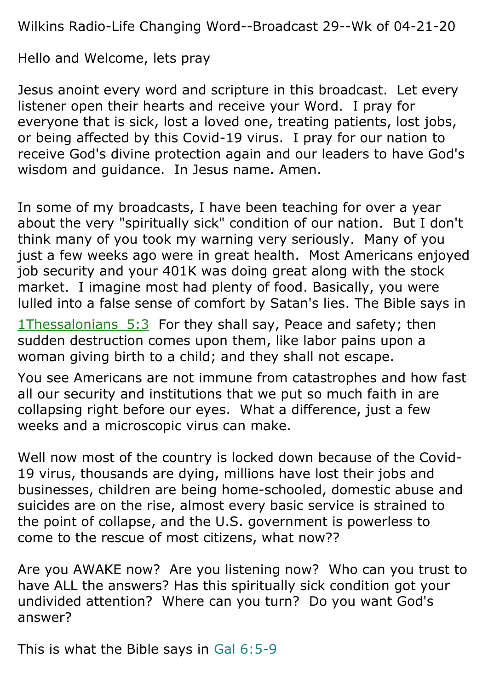Wilkins Radio-Life Changing Word--Broadcast 29--Wk of 04-21-20

Hello and Welcome, lets pray

Jesus anoint every word and scripture in this broadcast. Let every listener open their hearts and receive your Word. I pray for everyone that is sick, lost a loved one, treating patients, lost jobs, or being affected by this Covid-19 virus. I pray for our nation to receive God's divine protection again and our leaders to have God's wisdom and guidance. In Jesus name. Amen.

In some of my broadcasts, I have been teaching for over a year about the very "spiritually sick" condition of our nation. But I don't think many of you took my warning very seriously. Many of you just a few weeks ago were in great health. Most Americans enjoyed job security and your 401K was doing great along with the stock market. I imagine most had plenty of food. Basically, you were lulled into a false sense of comfort by Satan's lies. The Bible says in

1Thessalonians 5:3 For they shall say, Peace and safety; then sudden destruction comes upon them, like labor pains upon a woman giving birth to a child; and they shall not escape.

You see Americans are not immune from catastrophes and how fast all our security and institutions that we put so much faith in are collapsing right before our eyes. What a difference, just a few weeks and a microscopic virus can make.

Well now most of the country is locked down because of the Covid-19 virus, thousands are dying, millions have lost their jobs and businesses, children are being home-schooled, domestic abuse and suicides are on the rise, almost every basic service is strained to the point of collapse, and the U.S. government is powerless to come to the rescue of most citizens, what now??

Are you AWAKE now? Are you listening now? Who can you trust to have ALL the answers? Has this spiritually sick condition got your undivided attention? Where can you turn? Do you want God's answer?

This is what the Bible says in Gal 6:5-9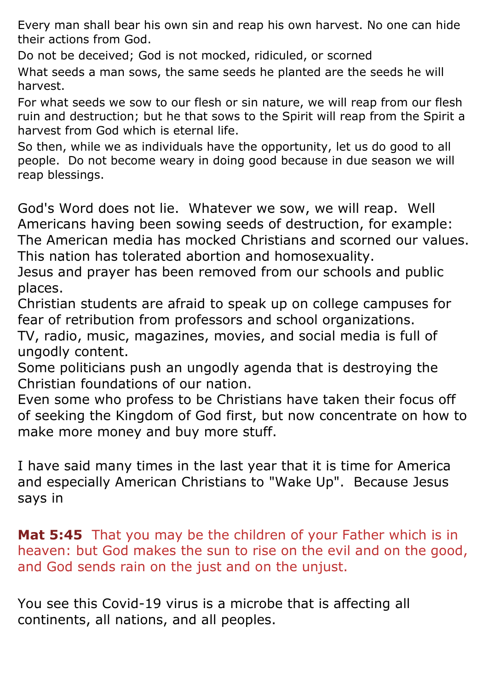Every man shall bear his own sin and reap his own harvest. No one can hide their actions from God.

Do not be deceived; God is not mocked, ridiculed, or scorned

What seeds a man sows, the same seeds he planted are the seeds he will harvest.

For what seeds we sow to our flesh or sin nature, we will reap from our flesh ruin and destruction; but he that sows to the Spirit will reap from the Spirit a harvest from God which is eternal life.

So then, while we as individuals have the opportunity, let us do good to all people. Do not become weary in doing good because in due season we will reap blessings.

God's Word does not lie. Whatever we sow, we will reap. Well Americans having been sowing seeds of destruction, for example: The American media has mocked Christians and scorned our values. This nation has tolerated abortion and homosexuality.

Jesus and prayer has been removed from our schools and public places.

Christian students are afraid to speak up on college campuses for fear of retribution from professors and school organizations.

TV, radio, music, magazines, movies, and social media is full of ungodly content.

Some politicians push an ungodly agenda that is destroying the Christian foundations of our nation.

Even some who profess to be Christians have taken their focus off of seeking the Kingdom of God first, but now concentrate on how to make more money and buy more stuff.

I have said many times in the last year that it is time for America and especially American Christians to "Wake Up". Because Jesus says in

**Mat 5:45** That you may be the children of your Father which is in heaven: but God makes the sun to rise on the evil and on the good, and God sends rain on the just and on the unjust.

You see this Covid-19 virus is a microbe that is affecting all continents, all nations, and all peoples.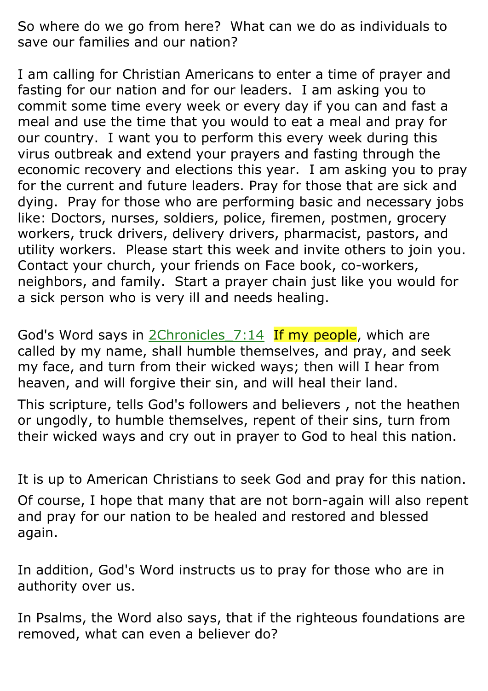So where do we go from here? What can we do as individuals to save our families and our nation?

I am calling for Christian Americans to enter a time of prayer and fasting for our nation and for our leaders. I am asking you to commit some time every week or every day if you can and fast a meal and use the time that you would to eat a meal and pray for our country. I want you to perform this every week during this virus outbreak and extend your prayers and fasting through the economic recovery and elections this year. I am asking you to pray for the current and future leaders. Pray for those that are sick and dying. Pray for those who are performing basic and necessary jobs like: Doctors, nurses, soldiers, police, firemen, postmen, grocery workers, truck drivers, delivery drivers, pharmacist, pastors, and utility workers. Please start this week and invite others to join you. Contact your church, your friends on Face book, co-workers, neighbors, and family. Start a prayer chain just like you would for a sick person who is very ill and needs healing.

God's Word says in 2Chronicles 7:14 If my people, which are called by my name, shall humble themselves, and pray, and seek my face, and turn from their wicked ways; then will I hear from heaven, and will forgive their sin, and will heal their land.

This scripture, tells God's followers and believers , not the heathen or ungodly, to humble themselves, repent of their sins, turn from their wicked ways and cry out in prayer to God to heal this nation.

It is up to American Christians to seek God and pray for this nation. Of course, I hope that many that are not born-again will also repent and pray for our nation to be healed and restored and blessed again.

In addition, God's Word instructs us to pray for those who are in authority over us.

In Psalms, the Word also says, that if the righteous foundations are removed, what can even a believer do?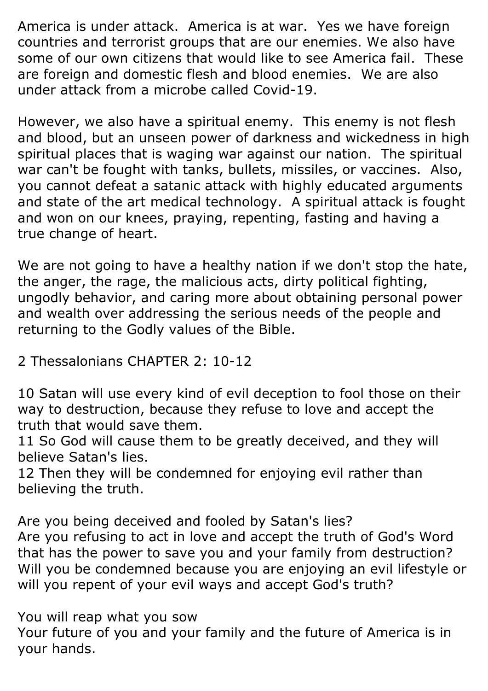America is under attack. America is at war. Yes we have foreign countries and terrorist groups that are our enemies. We also have some of our own citizens that would like to see America fail. These are foreign and domestic flesh and blood enemies. We are also under attack from a microbe called Covid-19.

However, we also have a spiritual enemy. This enemy is not flesh and blood, but an unseen power of darkness and wickedness in high spiritual places that is waging war against our nation. The spiritual war can't be fought with tanks, bullets, missiles, or vaccines. Also, you cannot defeat a satanic attack with highly educated arguments and state of the art medical technology. A spiritual attack is fought and won on our knees, praying, repenting, fasting and having a true change of heart.

We are not going to have a healthy nation if we don't stop the hate, the anger, the rage, the malicious acts, dirty political fighting, ungodly behavior, and caring more about obtaining personal power and wealth over addressing the serious needs of the people and returning to the Godly values of the Bible.

2 Thessalonians CHAPTER 2: 10-12

10 Satan will use every kind of evil deception to fool those on their way to destruction, because they refuse to love and accept the truth that would save them.

11 So God will cause them to be greatly deceived, and they will believe Satan's lies.

12 Then they will be condemned for enjoying evil rather than believing the truth.

Are you being deceived and fooled by Satan's lies? Are you refusing to act in love and accept the truth of God's Word that has the power to save you and your family from destruction? Will you be condemned because you are enjoying an evil lifestyle or will you repent of your evil ways and accept God's truth?

You will reap what you sow Your future of you and your family and the future of America is in your hands.